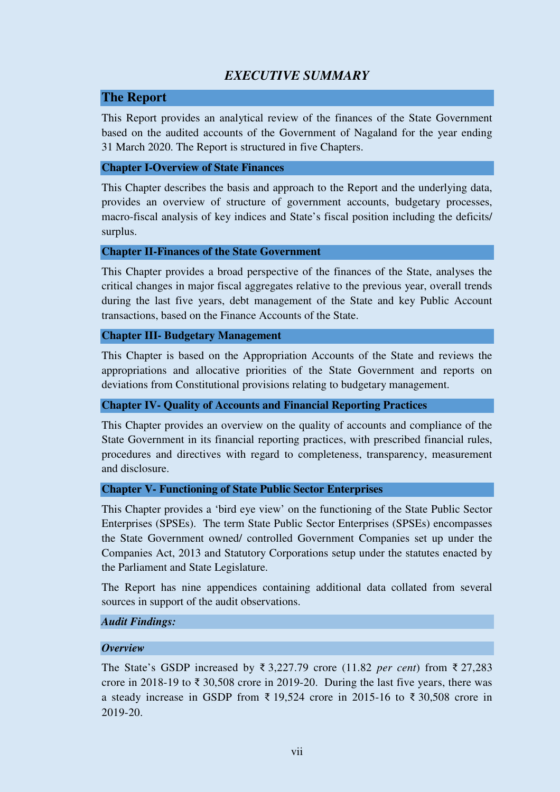# *EXECUTIVE SUMMARY*

## **The Report**

This Report provides an analytical review of the finances of the State Government based on the audited accounts of the Government of Nagaland for the year ending 31 March 2020. The Report is structured in five Chapters.

### **Chapter I-Overview of State Finances**

This Chapter describes the basis and approach to the Report and the underlying data, provides an overview of structure of government accounts, budgetary processes, macro-fiscal analysis of key indices and State's fiscal position including the deficits/ surplus.

### **Chapter II-Finances of the State Government**

This Chapter provides a broad perspective of the finances of the State, analyses the critical changes in major fiscal aggregates relative to the previous year, overall trends during the last five years, debt management of the State and key Public Account transactions, based on the Finance Accounts of the State.

### **Chapter III- Budgetary Management**

This Chapter is based on the Appropriation Accounts of the State and reviews the appropriations and allocative priorities of the State Government and reports on deviations from Constitutional provisions relating to budgetary management.

### **Chapter IV- Quality of Accounts and Financial Reporting Practices**

This Chapter provides an overview on the quality of accounts and compliance of the State Government in its financial reporting practices, with prescribed financial rules, procedures and directives with regard to completeness, transparency, measurement and disclosure.

### **Chapter V- Functioning of State Public Sector Enterprises**

This Chapter provides a 'bird eye view' on the functioning of the State Public Sector Enterprises (SPSEs). The term State Public Sector Enterprises (SPSEs) encompasses the State Government owned/ controlled Government Companies set up under the Companies Act, 2013 and Statutory Corporations setup under the statutes enacted by the Parliament and State Legislature.

The Report has nine appendices containing additional data collated from several sources in support of the audit observations.

### *Audit Findings:*

### *Overview*

The State's GSDP increased by ₹ 3,227.79 crore (11.82 *per cent*) from ₹ 27,283 crore in 2018-19 to  $\bar{\xi}$  30,508 crore in 2019-20. During the last five years, there was a steady increase in GSDP from ₹ 19,524 crore in 2015-16 to ₹ 30,508 crore in 2019-20.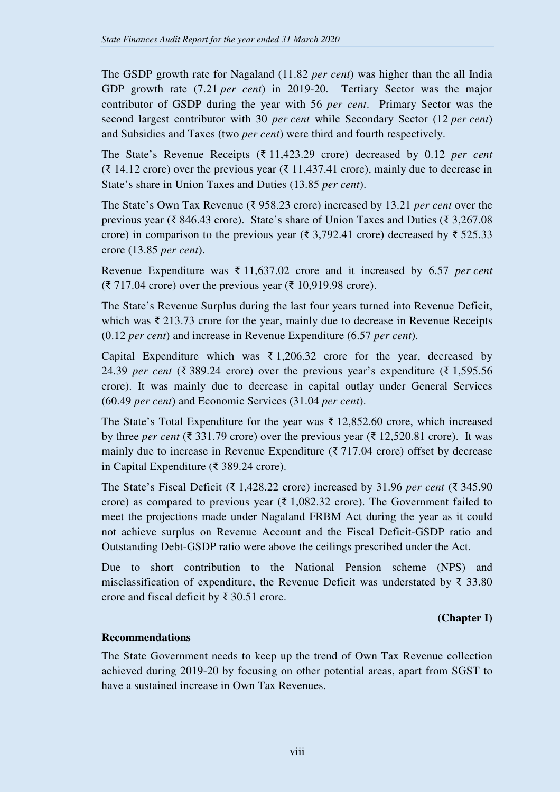The GSDP growth rate for Nagaland (11.82 *per cent*) was higher than the all India GDP growth rate (7.21 *per cent*) in 2019-20. Tertiary Sector was the major contributor of GSDP during the year with 56 *per cent*. Primary Sector was the second largest contributor with 30 *per cent* while Secondary Sector (12 *per cent*) and Subsidies and Taxes (two *per cent*) were third and fourth respectively.

The State's Revenue Receipts (₹ 11,423.29 crore) decreased by 0.12 *per cent* (₹ 14.12 crore) over the previous year (₹ 11,437.41 crore), mainly due to decrease in State's share in Union Taxes and Duties (13.85 *per cent*).

The State's Own Tax Revenue (₹ 958.23 crore) increased by 13.21 *per cent* over the previous year (₹ 846.43 crore). State's share of Union Taxes and Duties (₹ 3,267.08 crore) in comparison to the previous year ( $\overline{\xi}$  3,792.41 crore) decreased by  $\overline{\xi}$  525.33 crore (13.85 *per cent*).

Revenue Expenditure was ₹ 11,637.02 crore and it increased by 6.57 *per cent* (₹ 717.04 crore) over the previous year (₹ 10,919.98 crore).

The State's Revenue Surplus during the last four years turned into Revenue Deficit, which was ₹ 213.73 crore for the year, mainly due to decrease in Revenue Receipts (0.12 *per cent*) and increase in Revenue Expenditure (6.57 *per cent*).

Capital Expenditure which was  $\bar{\tau}$  1,206.32 crore for the year, decreased by 24.39 *per cent* (₹ 389.24 crore) over the previous year's expenditure (₹ 1,595.56 crore). It was mainly due to decrease in capital outlay under General Services (60.49 *per cent*) and Economic Services (31.04 *per cent*).

The State's Total Expenditure for the year was ₹ 12,852.60 crore, which increased by three *per cent* (₹ 331.79 crore) over the previous year (₹ 12,520.81 crore). It was mainly due to increase in Revenue Expenditure ( $\bar{\tau}$  717.04 crore) offset by decrease in Capital Expenditure (₹ 389.24 crore).

The State's Fiscal Deficit (₹ 1,428.22 crore) increased by 31.96 *per cent* (₹ 345.90 crore) as compared to previous year ( $\bar{\tau}$  1,082.32 crore). The Government failed to meet the projections made under Nagaland FRBM Act during the year as it could not achieve surplus on Revenue Account and the Fiscal Deficit-GSDP ratio and Outstanding Debt-GSDP ratio were above the ceilings prescribed under the Act.

Due to short contribution to the National Pension scheme (NPS) and misclassification of expenditure, the Revenue Deficit was understated by ₹ 33.80 crore and fiscal deficit by ₹ 30.51 crore.

### **(Chapter I)**

### **Recommendations**

The State Government needs to keep up the trend of Own Tax Revenue collection achieved during 2019-20 by focusing on other potential areas, apart from SGST to have a sustained increase in Own Tax Revenues.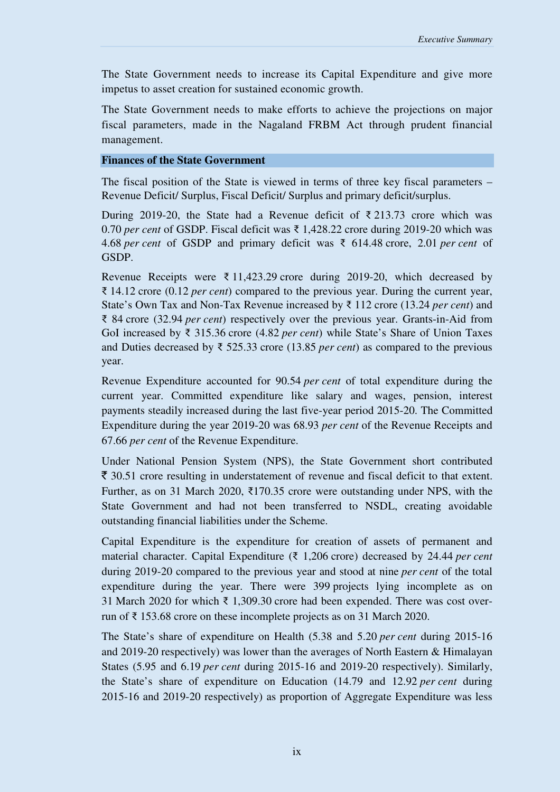The State Government needs to increase its Capital Expenditure and give more impetus to asset creation for sustained economic growth.

The State Government needs to make efforts to achieve the projections on major fiscal parameters, made in the Nagaland FRBM Act through prudent financial management.

#### **Finances of the State Government**

The fiscal position of the State is viewed in terms of three key fiscal parameters – Revenue Deficit/ Surplus, Fiscal Deficit/ Surplus and primary deficit/surplus.

During 2019-20, the State had a Revenue deficit of  $\bar{\xi}$  213.73 crore which was 0.70 *per cent* of GSDP. Fiscal deficit was ₹ 1,428.22 crore during 2019-20 which was 4.68 *per cent* of GSDP and primary deficit was ₹ 614.48 crore, 2.01 *per cent* of GSDP.

Revenue Receipts were  $\bar{\xi}$  11,423.29 crore during 2019-20, which decreased by ₹ 14.12 crore (0.12 *per cent*) compared to the previous year. During the current year, State's Own Tax and Non-Tax Revenue increased by ₹ 112 crore (13.24 *per cent*) and ₹ 84 crore (32.94 *per cent*) respectively over the previous year. Grants-in-Aid from GoI increased by ₹ 315.36 crore (4.82 *per cent*) while State's Share of Union Taxes and Duties decreased by ₹ 525.33 crore (13.85 *per cent*) as compared to the previous year.

Revenue Expenditure accounted for 90.54 *per cent* of total expenditure during the current year. Committed expenditure like salary and wages, pension, interest payments steadily increased during the last five-year period 2015-20. The Committed Expenditure during the year 2019-20 was 68.93 *per cent* of the Revenue Receipts and 67.66 *per cent* of the Revenue Expenditure.

Under National Pension System (NPS), the State Government short contributed  $\bar{\xi}$  30.51 crore resulting in understatement of revenue and fiscal deficit to that extent. Further, as on 31 March 2020, ₹170.35 crore were outstanding under NPS, with the State Government and had not been transferred to NSDL, creating avoidable outstanding financial liabilities under the Scheme.

Capital Expenditure is the expenditure for creation of assets of permanent and material character. Capital Expenditure (₹ 1,206 crore) decreased by 24.44 *per cent*  during 2019-20 compared to the previous year and stood at nine *per cent* of the total expenditure during the year. There were 399 projects lying incomplete as on 31 March 2020 for which ₹ 1,309.30 crore had been expended. There was cost overrun of ₹ 153.68 crore on these incomplete projects as on 31 March 2020.

The State's share of expenditure on Health (5.38 and 5.20 *per cent* during 2015-16 and 2019-20 respectively) was lower than the averages of North Eastern & Himalayan States (5.95 and 6.19 *per cent* during 2015-16 and 2019-20 respectively). Similarly, the State's share of expenditure on Education (14.79 and 12.92 *per cent* during 2015-16 and 2019-20 respectively) as proportion of Aggregate Expenditure was less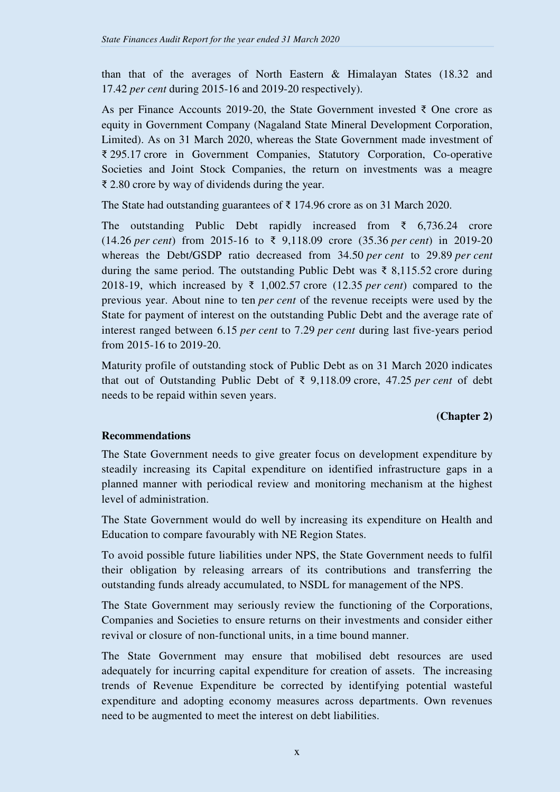than that of the averages of North Eastern & Himalayan States (18.32 and 17.42 *per cent* during 2015-16 and 2019-20 respectively).

As per Finance Accounts 2019-20, the State Government invested  $\bar{\zeta}$  One crore as equity in Government Company (Nagaland State Mineral Development Corporation, Limited). As on 31 March 2020, whereas the State Government made investment of ₹ 295.17 crore in Government Companies, Statutory Corporation, Co-operative Societies and Joint Stock Companies, the return on investments was a meagre ₹ 2.80 crore by way of dividends during the year.

The State had outstanding guarantees of  $\bar{\xi}$  174.96 crore as on 31 March 2020.

The outstanding Public Debt rapidly increased from  $\bar{\tau}$  6,736.24 crore (14.26 *per cent*) from 2015-16 to ₹ 9,118.09 crore (35.36 *per cent*) in 2019-20 whereas the Debt/GSDP ratio decreased from 34.50 *per cent* to 29.89 *per cent* during the same period. The outstanding Public Debt was ₹ 8,115.52 crore during 2018-19, which increased by ₹ 1,002.57 crore (12.35 *per cent*) compared to the previous year. About nine to ten *per cent* of the revenue receipts were used by the State for payment of interest on the outstanding Public Debt and the average rate of interest ranged between 6.15 *per cent* to 7.29 *per cent* during last five-years period from 2015-16 to 2019-20.

Maturity profile of outstanding stock of Public Debt as on 31 March 2020 indicates that out of Outstanding Public Debt of ₹ 9,118.09 crore, 47.25 *per cent* of debt needs to be repaid within seven years.

### **(Chapter 2)**

# **Recommendations**

The State Government needs to give greater focus on development expenditure by steadily increasing its Capital expenditure on identified infrastructure gaps in a planned manner with periodical review and monitoring mechanism at the highest level of administration.

The State Government would do well by increasing its expenditure on Health and Education to compare favourably with NE Region States.

To avoid possible future liabilities under NPS, the State Government needs to fulfil their obligation by releasing arrears of its contributions and transferring the outstanding funds already accumulated, to NSDL for management of the NPS.

The State Government may seriously review the functioning of the Corporations, Companies and Societies to ensure returns on their investments and consider either revival or closure of non-functional units, in a time bound manner.

The State Government may ensure that mobilised debt resources are used adequately for incurring capital expenditure for creation of assets. The increasing trends of Revenue Expenditure be corrected by identifying potential wasteful expenditure and adopting economy measures across departments. Own revenues need to be augmented to meet the interest on debt liabilities.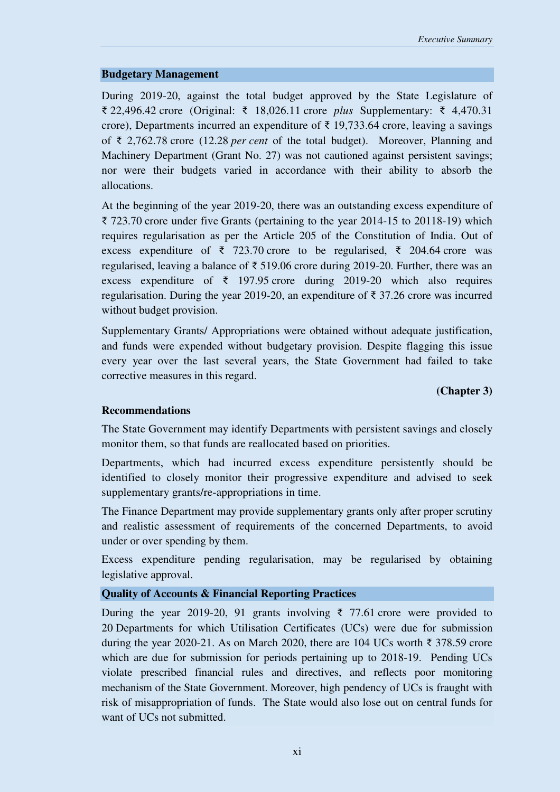#### **Budgetary Management**

During 2019-20, against the total budget approved by the State Legislature of ₹ 22,496.42 crore (Original: ₹ 18,026.11 crore *plus* Supplementary: ₹ 4,470.31 crore), Departments incurred an expenditure of  $\bar{\tau}$  19,733.64 crore, leaving a savings of ₹ 2,762.78 crore (12.28 *per cent* of the total budget). Moreover, Planning and Machinery Department (Grant No. 27) was not cautioned against persistent savings; nor were their budgets varied in accordance with their ability to absorb the allocations.

At the beginning of the year 2019-20, there was an outstanding excess expenditure of ₹ 723.70 crore under five Grants (pertaining to the year 2014-15 to 20118-19) which requires regularisation as per the Article 205 of the Constitution of India. Out of excess expenditure of ₹ 723.70 crore to be regularised, ₹ 204.64 crore was regularised, leaving a balance of  $\bar{\xi}$  519.06 crore during 2019-20. Further, there was an excess expenditure of  $\bar{\tau}$  197.95 crore during 2019-20 which also requires regularisation. During the year 2019-20, an expenditure of ₹ 37.26 crore was incurred without budget provision.

Supplementary Grants/ Appropriations were obtained without adequate justification, and funds were expended without budgetary provision. Despite flagging this issue every year over the last several years, the State Government had failed to take corrective measures in this regard.

### **(Chapter 3)**

#### **Recommendations**

The State Government may identify Departments with persistent savings and closely monitor them, so that funds are reallocated based on priorities.

Departments, which had incurred excess expenditure persistently should be identified to closely monitor their progressive expenditure and advised to seek supplementary grants/re-appropriations in time.

The Finance Department may provide supplementary grants only after proper scrutiny and realistic assessment of requirements of the concerned Departments, to avoid under or over spending by them.

Excess expenditure pending regularisation, may be regularised by obtaining legislative approval.

### **Quality of Accounts & Financial Reporting Practices**

During the year 2019-20, 91 grants involving ₹ 77.61 crore were provided to 20 Departments for which Utilisation Certificates (UCs) were due for submission during the year 2020-21. As on March 2020, there are 104 UCs worth  $\bar{\xi}$  378.59 crore which are due for submission for periods pertaining up to 2018-19. Pending UCs violate prescribed financial rules and directives, and reflects poor monitoring mechanism of the State Government. Moreover, high pendency of UCs is fraught with risk of misappropriation of funds. The State would also lose out on central funds for want of UCs not submitted.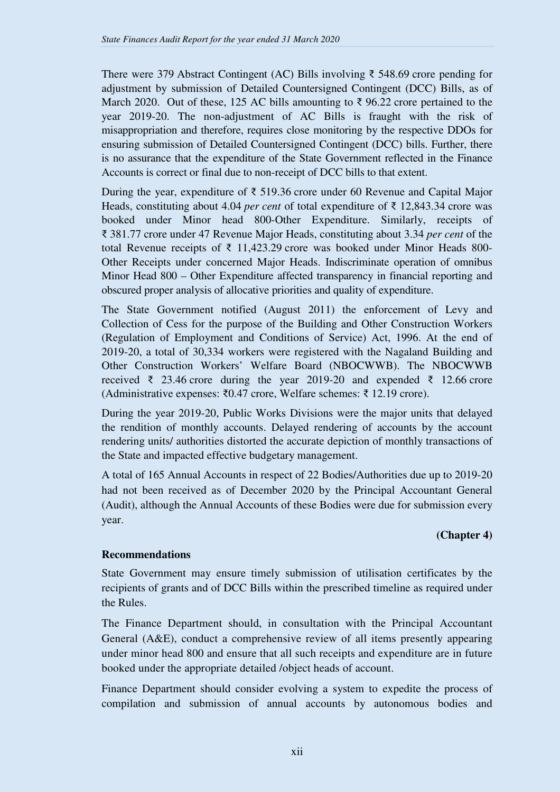There were 379 Abstract Contingent (AC) Bills involving ₹ 548.69 crore pending for adjustment by submission of Detailed Countersigned Contingent (DCC) Bills, as of March 2020. Out of these, 125 AC bills amounting to  $\bar{\tau}$  96.22 crore pertained to the year 2019-20. The non-adjustment of AC Bills is fraught with the risk of misappropriation and therefore, requires close monitoring by the respective DDOs for ensuring submission of Detailed Countersigned Contingent (DCC) bills. Further, there is no assurance that the expenditure of the State Government reflected in the Finance Accounts is correct or final due to non-receipt of DCC bills to that extent.

During the year, expenditure of ₹ 519.36 crore under 60 Revenue and Capital Major Heads, constituting about 4.04 *per cent* of total expenditure of ₹ 12,843.34 crore was booked under Minor head 800-Other Expenditure. Similarly, receipts of ₹ 381.77 crore under 47 Revenue Major Heads, constituting about 3.34 *per cent* of the total Revenue receipts of  $\bar{\tau}$  11,423.29 crore was booked under Minor Heads 800-Other Receipts under concerned Major Heads. Indiscriminate operation of omnibus Minor Head 800 – Other Expenditure affected transparency in financial reporting and obscured proper analysis of allocative priorities and quality of expenditure.

The State Government notified (August 2011) the enforcement of Levy and Collection of Cess for the purpose of the Building and Other Construction Workers (Regulation of Employment and Conditions of Service) Act, 1996. At the end of 2019-20, a total of 30,334 workers were registered with the Nagaland Building and Other Construction Workers' Welfare Board (NBOCWWB). The NBOCWWB received ₹ 23.46 crore during the year 2019-20 and expended ₹ 12.66 crore (Administrative expenses: ₹0.47 crore, Welfare schemes: ₹ 12.19 crore).

During the year 2019-20, Public Works Divisions were the major units that delayed the rendition of monthly accounts. Delayed rendering of accounts by the account rendering units/ authorities distorted the accurate depiction of monthly transactions of the State and impacted effective budgetary management.

A total of 165 Annual Accounts in respect of 22 Bodies/Authorities due up to 2019-20 had not been received as of December 2020 by the Principal Accountant General (Audit), although the Annual Accounts of these Bodies were due for submission every year.

### **(Chapter 4)**

# **Recommendations**

State Government may ensure timely submission of utilisation certificates by the recipients of grants and of DCC Bills within the prescribed timeline as required under the Rules.

The Finance Department should, in consultation with the Principal Accountant General (A&E), conduct a comprehensive review of all items presently appearing under minor head 800 and ensure that all such receipts and expenditure are in future booked under the appropriate detailed /object heads of account.

Finance Department should consider evolving a system to expedite the process of compilation and submission of annual accounts by autonomous bodies and